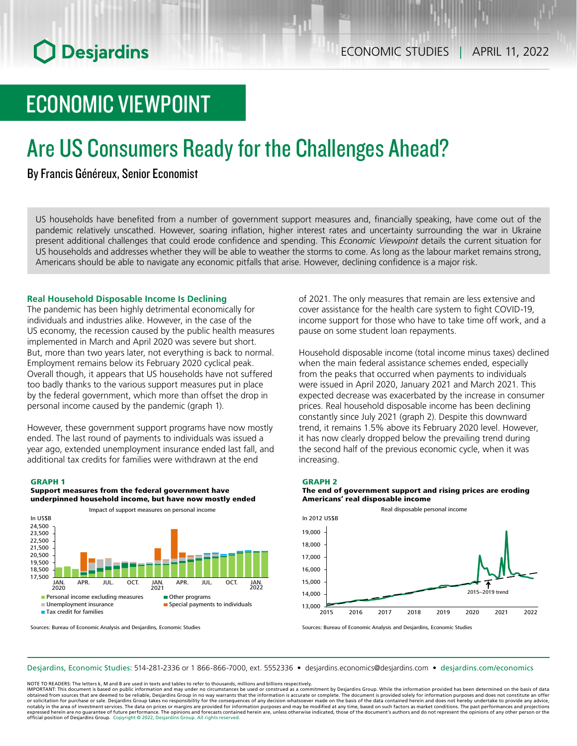# ECONOMIC VIEWPOINT

# Are US Consumers Ready for the Challenges Ahead?

By Francis Généreux, Senior Economist

US households have benefited from a number of government support measures and, financially speaking, have come out of the pandemic relatively unscathed. However, soaring inflation, higher interest rates and uncertainty surrounding the war in Ukraine present additional challenges that could erode confidence and spending. This *Economic Viewpoint* details the current situation for US households and addresses whether they will be able to weather the storms to come. As long as the labour market remains strong, Americans should be able to navigate any economic pitfalls that arise. However, declining confidence is a major risk.

## **Real Household Disposable Income Is Declining**

The pandemic has been highly detrimental economically for individuals and industries alike. However, in the case of the US economy, the recession caused by the public health measures implemented in March and April 2020 was severe but short. But, more than two years later, not everything is back to normal. Employment remains below its February 2020 cyclical peak. Overall though, it appears that US households have not suffered too badly thanks to the various support measures put in place by the federal government, which more than offset the drop in personal income caused by the pandemic (graph 1).

However, these government support programs have now mostly ended. The last round of payments to individuals was issued a year ago, extended unemployment insurance ended last fall, and additional tax credits for families were withdrawn at the end

#### GRAPH 1





Sources: Bureau of Economic Analysis and Desjardins, Economic Studies

of 2021. The only measures that remain are less extensive and cover assistance for the health care system to fight COVID‑19, income support for those who have to take time off work, and a pause on some student loan repayments.

Household disposable income (total income minus taxes) declined when the main federal assistance schemes ended, especially from the peaks that occurred when payments to individuals were issued in April 2020, January 2021 and March 2021. This expected decrease was exacerbated by the increase in consumer prices. Real household disposable income has been declining constantly since July 2021 (graph 2). Despite this downward trend, it remains 1.5% above its February 2020 level. However, it has now clearly dropped below the prevailing trend during the second half of the previous economic cycle, when it was increasing.



## The end of government support and rising prices are eroding Americans' real disposable income



Sources: Bureau of Economic Analysis and Desjardins, Economic Studies

Desjardins, Economic Studies: 514‑281‑2336 or 1 866‑866‑7000, ext. 5552336 • desjardins.economics@desjardins.com • [desjardins.com/economics](http://desjardins.com/economics)

NOTE TO READERS: The letters k, M and B are used in texts and tables to refer to thousands, millions and billions respectively.

IMPORTANT: This document is based on public information and may under no circumstances be used or construed as a commitment by Desjardins Group. While the information provided has been determined on the basis of data obtained from sources that are deemed to be reliable, Desjardins Group in no way warrants that the information is accurate or complete. The document is provided solely for information purposes and does not constitute an of notably in the area of investment services. The data on prices or margins are provided for information purposes and may be modified at any time, based on such factors as market conditions. The past performances and project expressed herein are no quarantee of future performance. The opinions and forecasts contained herein are, unless otherwise indicated, those of the document's authors and do not represent the opinions of any other person or official position of Desjardins Group. Copyright © 2022, Desjardins Group. All rights reserved.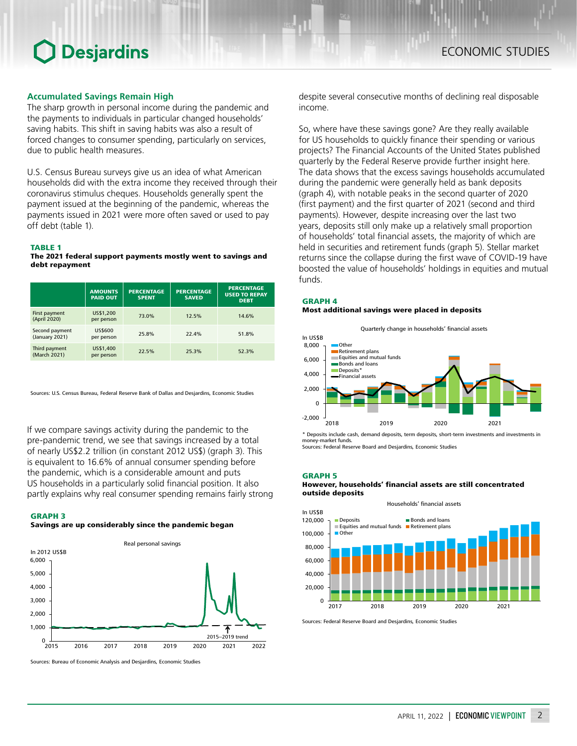## **Accumulated Savings Remain High**

The sharp growth in personal income during the pandemic and the payments to individuals in particular changed households' saving habits. This shift in saving habits was also a result of forced changes to consumer spending, particularly on services, due to public health measures.

U.S. Census Bureau surveys give us an idea of what American households did with the extra income they received through their coronavirus stimulus cheques. Households generally spent the payment issued at the beginning of the pandemic, whereas the payments issued in 2021 were more often saved or used to pay off debt (table 1).

## TABLE 1

The 2021 federal support payments mostly went to savings and debt repayment

|                                  | <b>AMOUNTS</b><br><b>PAID OUT</b> | <b>PERCENTAGE</b><br><b>SPENT</b> | <b>PERCENTAGE</b><br><b>SAVED</b> | <b>PERCENTAGE</b><br><b>USED TO REPAY</b><br><b>DEBT</b> |
|----------------------------------|-----------------------------------|-----------------------------------|-----------------------------------|----------------------------------------------------------|
| First payment<br>(April 2020)    | US\$1,200<br>per person           | 73.0%                             | 12.5%                             | 14.6%                                                    |
| Second payment<br>(January 2021) | <b>US\$600</b><br>per person      | 25.8%                             | 22.4%                             | 51.8%                                                    |
| Third payment<br>(March 2021)    | US\$1,400<br>per person           | 22.5%                             | 25.3%                             | 52.3%                                                    |

Sources: U.S. Census Bureau, Federal Reserve Bank of Dallas and Desjardins, Economic Studies

If we compare savings activity during the pandemic to the pre-pandemic trend, we see that savings increased by a total of nearly US\$2.2 trillion (in constant 2012 US\$) (graph 3). This is equivalent to 16.6% of annual consumer spending before the pandemic, which is a considerable amount and puts US households in a particularly solid financial position. It also partly explains why real consumer spending remains fairly strong

#### GRAPH 3

## Savings are up considerably since the pandemic began



Sources: Bureau of Economic Analysis and Desjardins, Economic Studies

despite several consecutive months of declining real disposable income.

So, where have these savings gone? Are they really available for US households to quickly finance their spending or various projects? The Financial Accounts of the United States published quarterly by the Federal Reserve provide further insight here. The data shows that the excess savings households accumulated during the pandemic were generally held as bank deposits (graph 4), with notable peaks in the second quarter of 2020 (first payment) and the first quarter of 2021 (second and third payments). However, despite increasing over the last two years, deposits still only make up a relatively small proportion of households' total financial assets, the majority of which are held in securities and retirement funds (graph 5). Stellar market returns since the collapse during the first wave of COVID-19 have boosted the value of households' holdings in equities and mutual funds.

## GRAPH 4 Most additional savings were placed in deposits



\* Deposits include cash, demand deposits, term deposits, short-term investments and investments in money-market funds.

Sources: Federal Reserve Board and Desjardins, Economic Studies

#### GRAPH 5

## However, households' financial assets are still concentrated outside deposits



Sources: Federal Reserve Board and Desjardins, Economic Studies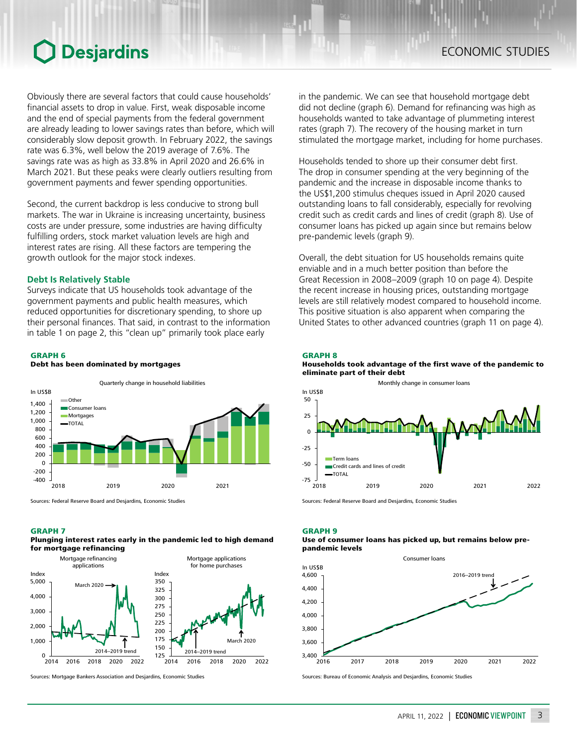Obviously there are several factors that could cause households' financial assets to drop in value. First, weak disposable income and the end of special payments from the federal government are already leading to lower savings rates than before, which will considerably slow deposit growth. In February 2022, the savings rate was 6.3%, well below the 2019 average of 7.6%. The savings rate was as high as 33.8% in April 2020 and 26.6% in March 2021. But these peaks were clearly outliers resulting from government payments and fewer spending opportunities.

Second, the current backdrop is less conducive to strong bull markets. The war in Ukraine is increasing uncertainty, business costs are under pressure, some industries are having difficulty fulfilling orders, stock market valuation levels are high and interest rates are rising. All these factors are tempering the growth outlook for the major stock indexes.

## **Debt Is Relatively Stable**

Surveys indicate that US households took advantage of the government payments and public health measures, which reduced opportunities for discretionary spending, to shore up their personal finances. That said, in contrast to the information in table 1 on page 2, this "clean up" primarily took place early

### GRAPH 6



Sources: Federal Reserve Board and Desjardins, Economic Studies

Debt has been dominated by mortgages

#### GRAPH 7





Sources: Mortgage Bankers Association and Desjardins, Economic Studies

in the pandemic. We can see that household mortgage debt did not decline (graph 6). Demand for refinancing was high as households wanted to take advantage of plummeting interest rates (graph 7). The recovery of the housing market in turn stimulated the mortgage market, including for home purchases.

Households tended to shore up their consumer debt first. The drop in consumer spending at the very beginning of the pandemic and the increase in disposable income thanks to the US\$1,200 stimulus cheques issued in April 2020 caused outstanding loans to fall considerably, especially for revolving credit such as credit cards and lines of credit (graph 8). Use of consumer loans has picked up again since but remains below pre-pandemic levels (graph 9).

Overall, the debt situation for US households remains quite enviable and in a much better position than before the Great Recession in 2008–2009 (graph 10 on page 4). Despite the recent increase in housing prices, outstanding mortgage levels are still relatively modest compared to household income. This positive situation is also apparent when comparing the United States to other advanced countries (graph 11 on page 4).

#### GRAPH 8





Sources: Federal Reserve Board and Desjardins, Economic Studies

## GRAPH 9

### Use of consumer loans has picked up, but remains below prepandemic levels



Sources: Bureau of Economic Analysis and Desjardins, Economic Studies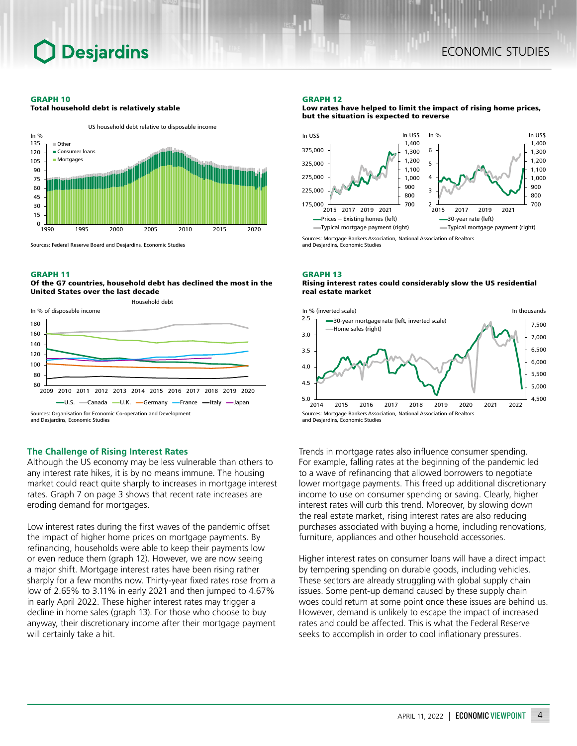#### GRAPH 10

Total household debt is relatively stable



Sources: Federal Reserve Board and Desjardins, Economic Studies

### GRAPH 11

Of the G7 countries, household debt has declined the most in the United States over the last decade



#### and Desjardins, Economic Studies

## **The Challenge of Rising Interest Rates**

Although the US economy may be less vulnerable than others to any interest rate hikes, it is by no means immune. The housing market could react quite sharply to increases in mortgage interest rates. Graph 7 on page 3 shows that recent rate increases are eroding demand for mortgages.

Low interest rates during the first waves of the pandemic offset the impact of higher home prices on mortgage payments. By refinancing, households were able to keep their payments low or even reduce them (graph 12). However, we are now seeing a major shift. Mortgage interest rates have been rising rather sharply for a few months now. Thirty-year fixed rates rose from a low of 2.65% to 3.11% in early 2021 and then jumped to 4.67% in early April 2022. These higher interest rates may trigger a decline in home sales (graph 13). For those who choose to buy anyway, their discretionary income after their mortgage payment will certainly take a hit.

#### GRAPH 12

Low rates have helped to limit the impact of rising home prices, but the situation is expected to reverse



Sources: Mortgage Bankers Association, National Association of Realtors and Desjardins, Economic Studies

#### GRAPH 13 Rising interest rates could considerably slow the US residential real estate market



Trends in mortgage rates also influence consumer spending. For example, falling rates at the beginning of the pandemic led to a wave of refinancing that allowed borrowers to negotiate lower mortgage payments. This freed up additional discretionary income to use on consumer spending or saving. Clearly, higher interest rates will curb this trend. Moreover, by slowing down the real estate market, rising interest rates are also reducing purchases associated with buying a home, including renovations, furniture, appliances and other household accessories.

Higher interest rates on consumer loans will have a direct impact by tempering spending on durable goods, including vehicles. These sectors are already struggling with global supply chain issues. Some pent-up demand caused by these supply chain woes could return at some point once these issues are behind us. However, demand is unlikely to escape the impact of increased rates and could be affected. This is what the Federal Reserve seeks to accomplish in order to cool inflationary pressures.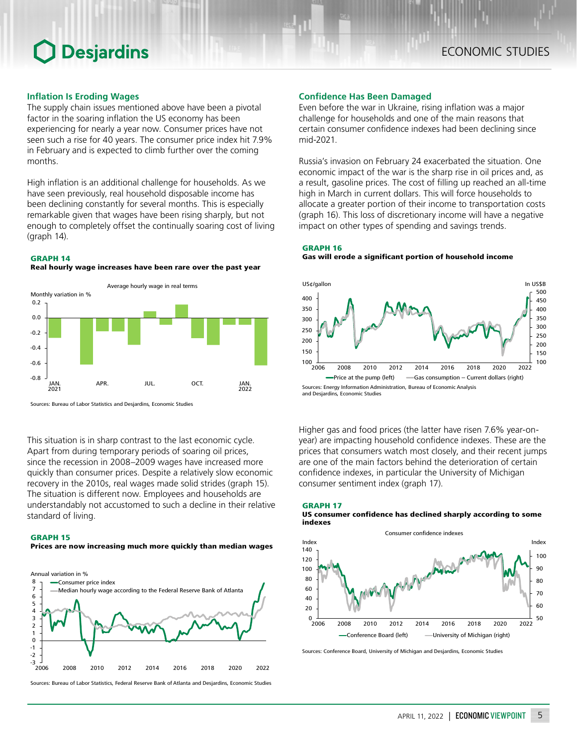## **Inflation Is Eroding Wages**

The supply chain issues mentioned above have been a pivotal factor in the soaring inflation the US economy has been experiencing for nearly a year now. Consumer prices have not seen such a rise for 40 years. The consumer price index hit 7.9% in February and is expected to climb further over the coming months.

High inflation is an additional challenge for households. As we have seen previously, real household disposable income has been declining constantly for several months. This is especially remarkable given that wages have been rising sharply, but not enough to completely offset the continually soaring cost of living (graph 14).

### GRAPH 14

Real hourly wage increases have been rare over the past year



Sources: Bureau of Labor Statistics and Desjardins, Economic Studies

This situation is in sharp contrast to the last economic cycle. Apart from during temporary periods of soaring oil prices, since the recession in 2008–2009 wages have increased more quickly than consumer prices. Despite a relatively slow economic recovery in the 2010s, real wages made solid strides (graph 15). The situation is different now. Employees and households are understandably not accustomed to such a decline in their relative standard of living.

GRAPH 15

## Prices are now increasing much more quickly than median wages



Sources: Bureau of Labor Statistics, Federal Reserve Bank of Atlanta and Desjardins, Economic Studies

### **Confidence Has Been Damaged**

Even before the war in Ukraine, rising inflation was a major challenge for households and one of the main reasons that certain consumer confidence indexes had been declining since mid‑2021.

Russia's invasion on February 24 exacerbated the situation. One economic impact of the war is the sharp rise in oil prices and, as a result, gasoline prices. The cost of filling up reached an all-time high in March in current dollars. This will force households to allocate a greater portion of their income to transportation costs (graph 16). This loss of discretionary income will have a negative impact on other types of spending and savings trends.

## GRAPH 16

GRAPH 17

Gas will erode a significant portion of household income



Higher gas and food prices (the latter have risen 7.6% year-onyear) are impacting household confidence indexes. These are the prices that consumers watch most closely, and their recent jumps are one of the main factors behind the deterioration of certain confidence indexes, in particular the University of Michigan consumer sentiment index (graph 17).



Sources: Conference Board, University of Michigan and Desjardins, Economic Studies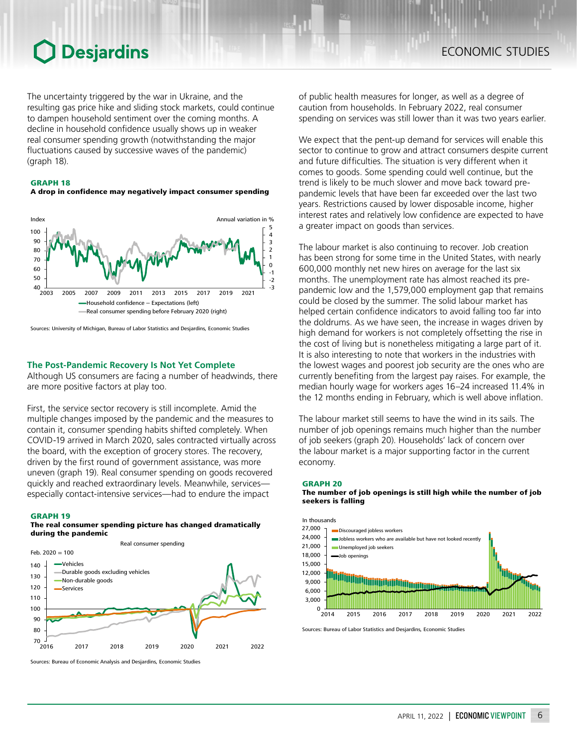The uncertainty triggered by the war in Ukraine, and the resulting gas price hike and sliding stock markets, could continue to dampen household sentiment over the coming months. A decline in household confidence usually shows up in weaker real consumer spending growth (notwithstanding the major fluctuations caused by successive waves of the pandemic) (graph 18).

### GRAPH 18





Sources: University of Michigan, Bureau of Labor Statistics and Desjardins, Economic Studies

## **The Post-Pandemic Recovery Is Not Yet Complete**

Although US consumers are facing a number of headwinds, there are more positive factors at play too.

First, the service sector recovery is still incomplete. Amid the multiple changes imposed by the pandemic and the measures to contain it, consumer spending habits shifted completely. When COVID‑19 arrived in March 2020, sales contracted virtually across the board, with the exception of grocery stores. The recovery, driven by the first round of government assistance, was more uneven (graph 19). Real consumer spending on goods recovered quickly and reached extraordinary levels. Meanwhile, services especially contact-intensive services—had to endure the impact

### GRAPH 19

## The real consumer spending picture has changed dramatically during the pandemic



Sources: Bureau of Economic Analysis and Desjardins, Economic Studies

of public health measures for longer, as well as a degree of caution from households. In February 2022, real consumer spending on services was still lower than it was two years earlier.

We expect that the pent-up demand for services will enable this sector to continue to grow and attract consumers despite current and future difficulties. The situation is very different when it comes to goods. Some spending could well continue, but the trend is likely to be much slower and move back toward prepandemic levels that have been far exceeded over the last two years. Restrictions caused by lower disposable income, higher interest rates and relatively low confidence are expected to have a greater impact on goods than services.

The labour market is also continuing to recover. Job creation has been strong for some time in the United States, with nearly 600,000 monthly net new hires on average for the last six months. The unemployment rate has almost reached its prepandemic low and the 1,579,000 employment gap that remains could be closed by the summer. The solid labour market has helped certain confidence indicators to avoid falling too far into the doldrums. As we have seen, the increase in wages driven by high demand for workers is not completely offsetting the rise in the cost of living but is nonetheless mitigating a large part of it. It is also interesting to note that workers in the industries with the lowest wages and poorest job security are the ones who are currently benefiting from the largest pay raises. For example, the median hourly wage for workers ages 16–24 increased 11.4% in the 12 months ending in February, which is well above inflation.

The labour market still seems to have the wind in its sails. The number of job openings remains much higher than the number of job seekers (graph 20). Households' lack of concern over the labour market is a major supporting factor in the current economy.

#### GRAPH 20



The number of job openings is still high while the number of job seekers is falling

Sources: Bureau of Labor Statistics and Desjardins, Economic Studies